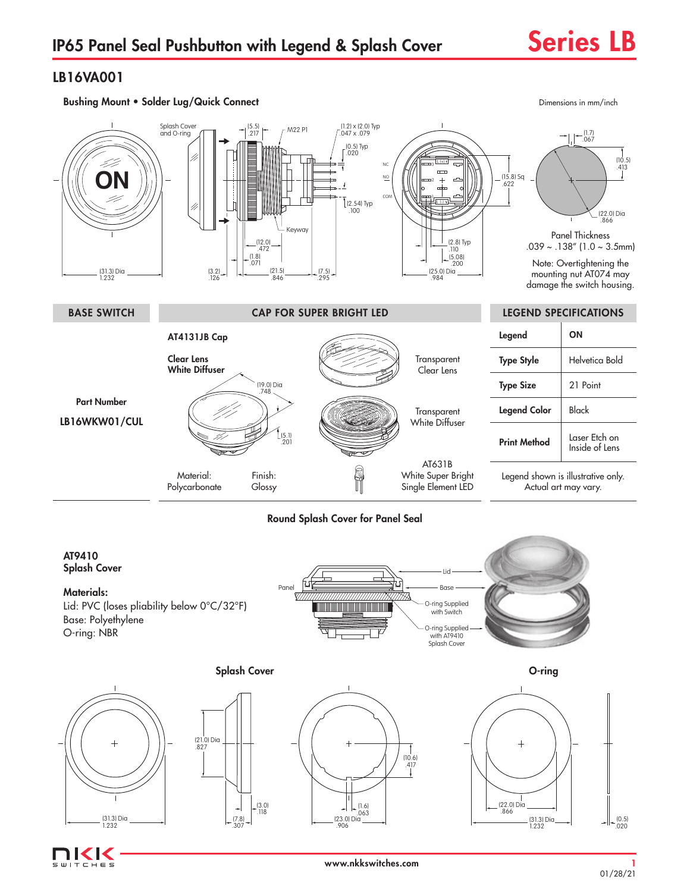## LB16VA001



## Round Splash Cover for Panel Seal